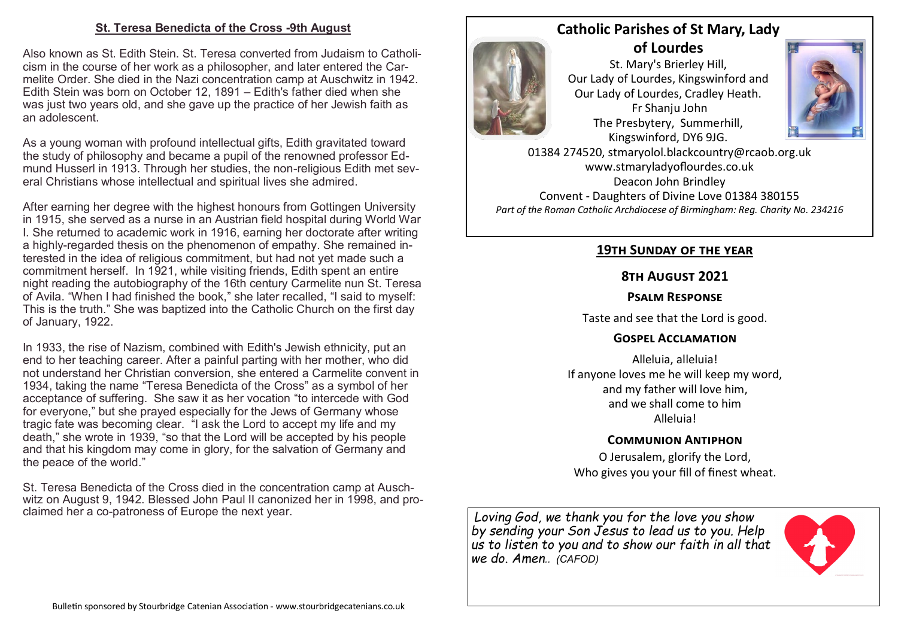#### **St. Teresa Benedicta of the Cross -9th August**

Also known as St. Edith Stein. St. Teresa converted from Judaism to Catholicism in the course of her work as a philosopher, and later entered the Carmelite Order. She died in the Nazi concentration camp at Auschwitz in 1942. Edith Stein was born on October 12, 1891 – Edith's father died when she was just two years old, and she gave up the practice of her Jewish faith as an adolescent.

As a young woman with profound intellectual gifts, Edith gravitated toward the study of philosophy and became a pupil of the renowned professor Edmund Husserl in 1913. Through her studies, the non-religious Edith met several Christians whose intellectual and spiritual lives she admired.

After earning her degree with the highest honours from Gottingen University in 1915, she served as a nurse in an Austrian field hospital during World War I. She returned to academic work in 1916, earning her doctorate after writing a highly-regarded thesis on the phenomenon of empathy. She remained interested in the idea of religious commitment, but had not yet made such a commitment herself. In 1921, while visiting friends, Edith spent an entire night reading the autobiography of the 16th century Carmelite nun St. Teresa of Avila. "When I had finished the book," she later recalled, "I said to myself: This is the truth." She was baptized into the Catholic Church on the first day of January, 1922.

In 1933, the rise of Nazism, combined with Edith's Jewish ethnicity, put an end to her teaching career. After a painful parting with her mother, who did not understand her Christian conversion, she entered a Carmelite convent in 1934, taking the name "Teresa Benedicta of the Cross" as a symbol of her acceptance of suffering. She saw it as her vocation "to intercede with God for everyone," but she prayed especially for the Jews of Germany whose tragic fate was becoming clear. "I ask the Lord to accept my life and my death," she wrote in 1939, "so that the Lord will be accepted by his people and that his kingdom may come in glory, for the salvation of Germany and the peace of the world."

St. Teresa Benedicta of the Cross died in the concentration camp at Auschwitz on August 9, 1942. Blessed John Paul II canonized her in 1998, and proclaimed her a co-patroness of Europe the next year.

# **Catholic Parishes of St Mary, Lady of Lourdes**

Fr Shanju John

St. Mary's Brierley Hill, Our Lady of Lourdes, Kingswinford and Our Lady of Lourdes, Cradley Heath. The Presbytery, Summerhill, Kingswinford, DY6 9JG.



01384 274520, stmaryolol.blackcountry@rcaob.org.uk www.stmaryladyoflourdes.co.uk Deacon John Brindley Convent - Daughters of Divine Love 01384 380155 *Part of the Roman Catholic Archdiocese of Birmingham: Reg. Charity No. 234216*

## **19th Sunday of the year**

# **8th August 2021**

### **Psalm Response**

Taste and see that the Lord is good.

# **Gospel Acclamation**

Alleluia, alleluia! If anyone loves me he will keep my word, and my father will love him, and we shall come to him Alleluia!

# **Communion Antiphon**

O Jerusalem, glorify the Lord, Who gives you your fill of finest wheat.

*Loving God, we thank you for the love you show by sending your Son Jesus to lead us to you. Help us to listen to you and to show our faith in all that we do. Amen.. (CAFOD)*